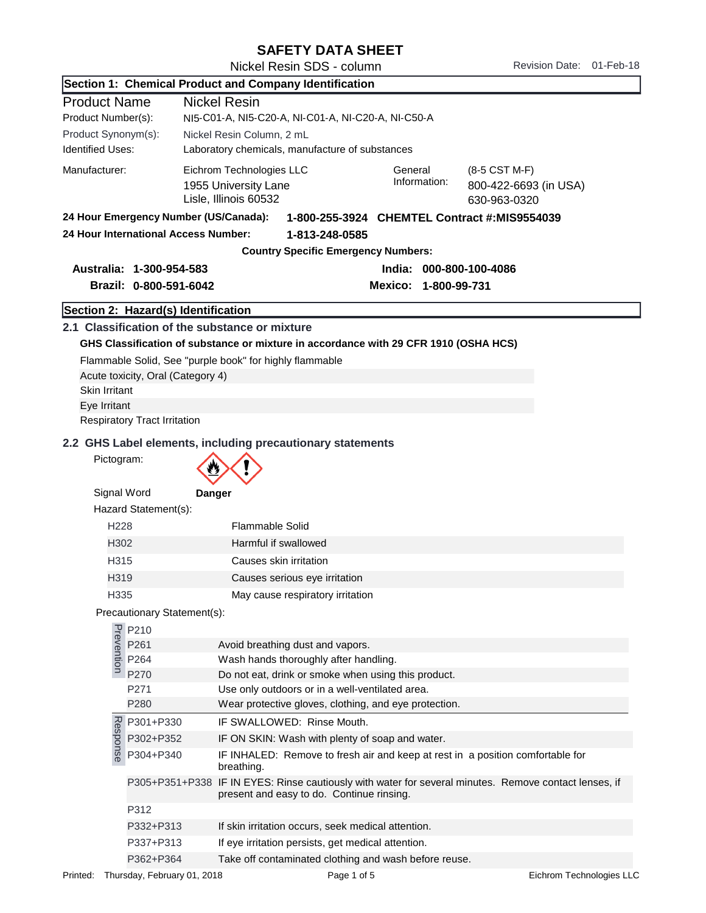## SAFETY DATA SHEET

Nickel Resin SDS - column Revision Date: 01-Feb-18

Section 1: Chemical Product and Company Identification

| <b>Product Name</b>                   | <b>Nickel Resin</b>                                                                  |                                                    |                         |                                                                                                       |  |
|---------------------------------------|--------------------------------------------------------------------------------------|----------------------------------------------------|-------------------------|-------------------------------------------------------------------------------------------------------|--|
| Product Number(s):                    |                                                                                      | NI5-C01-A, NI5-C20-A, NI-C01-A, NI-C20-A, NI-C50-A |                         |                                                                                                       |  |
| Product Synonym(s):                   | Nickel Resin Column, 2 mL                                                            |                                                    |                         |                                                                                                       |  |
| <b>Identified Uses:</b>               | Laboratory chemicals, manufacture of substances                                      |                                                    |                         |                                                                                                       |  |
| Manufacturer:                         | Eichrom Technologies LLC<br>1955 University Lane<br>Lisle, Illinois 60532            | General                                            | Information:            | (8-5 CST M-F)<br>800-422-6693 (in USA)                                                                |  |
| 24 Hour Emergency Number (US/Canada): |                                                                                      | 1-800-255-3924 CHEMTEL Contract #:MIS9554039       |                         | 630-963-0320                                                                                          |  |
| 24 Hour International Access Number:  |                                                                                      | 1-813-248-0585                                     |                         |                                                                                                       |  |
|                                       |                                                                                      | <b>Country Specific Emergency Numbers:</b>         |                         |                                                                                                       |  |
| Australia: 1-300-954-583              |                                                                                      |                                                    | India: 000-800-100-4086 |                                                                                                       |  |
| Brazil: 0-800-591-6042                |                                                                                      |                                                    | Mexico: 1-800-99-731    |                                                                                                       |  |
| Section 2: Hazard(s) Identification   |                                                                                      |                                                    |                         |                                                                                                       |  |
|                                       | 2.1 Classification of the substance or mixture                                       |                                                    |                         |                                                                                                       |  |
|                                       | GHS Classification of substance or mixture in accordance with 29 CFR 1910 (OSHA HCS) |                                                    |                         |                                                                                                       |  |
|                                       | Flammable Solid, See "purple book" for highly flammable                              |                                                    |                         |                                                                                                       |  |
| Acute toxicity, Oral (Category 4)     |                                                                                      |                                                    |                         |                                                                                                       |  |
| <b>Skin Irritant</b>                  |                                                                                      |                                                    |                         |                                                                                                       |  |
| Eye Irritant                          |                                                                                      |                                                    |                         |                                                                                                       |  |
| <b>Respiratory Tract Irritation</b>   |                                                                                      |                                                    |                         |                                                                                                       |  |
|                                       | 2.2 GHS Label elements, including precautionary statements                           |                                                    |                         |                                                                                                       |  |
| Pictogram:                            |                                                                                      |                                                    |                         |                                                                                                       |  |
|                                       |                                                                                      |                                                    |                         |                                                                                                       |  |
| Signal Word                           | Danger                                                                               |                                                    |                         |                                                                                                       |  |
| Hazard Statement(s):                  |                                                                                      |                                                    |                         |                                                                                                       |  |
| H <sub>228</sub>                      | Flammable Solid                                                                      |                                                    |                         |                                                                                                       |  |
| H302                                  | Harmful if swallowed                                                                 |                                                    |                         |                                                                                                       |  |
| H315                                  | Causes skin irritation                                                               |                                                    |                         |                                                                                                       |  |
| H319                                  | Causes serious eye irritation                                                        |                                                    |                         |                                                                                                       |  |
| H335                                  | May cause respiratory irritation                                                     |                                                    |                         |                                                                                                       |  |
| Precautionary Statement(s):           |                                                                                      |                                                    |                         |                                                                                                       |  |
|                                       |                                                                                      |                                                    |                         |                                                                                                       |  |
| P210<br>P261<br>P264<br>P264<br>P270  | Avoid breathing dust and vapors.                                                     |                                                    |                         |                                                                                                       |  |
|                                       | Wash hands thoroughly after handling.                                                |                                                    |                         |                                                                                                       |  |
| P270                                  | Do not eat, drink or smoke when using this product.                                  |                                                    |                         |                                                                                                       |  |
| P271                                  | Use only outdoors or in a well-ventilated area.                                      |                                                    |                         |                                                                                                       |  |
| P280                                  | Wear protective gloves, clothing, and eye protection.                                |                                                    |                         |                                                                                                       |  |
| P301+P330                             | IF SWALLOWED: Rinse Mouth.                                                           |                                                    |                         |                                                                                                       |  |
| Response<br>P302+P352                 | IF ON SKIN: Wash with plenty of soap and water.                                      |                                                    |                         |                                                                                                       |  |
| P304+P340                             | breathing.                                                                           |                                                    |                         | IF INHALED: Remove to fresh air and keep at rest in a position comfortable for                        |  |
|                                       | present and easy to do. Continue rinsing.                                            |                                                    |                         | P305+P351+P338 IF IN EYES: Rinse cautiously with water for several minutes. Remove contact lenses, if |  |
| P312                                  |                                                                                      |                                                    |                         |                                                                                                       |  |
| P332+P313                             | If skin irritation occurs, seek medical attention.                                   |                                                    |                         |                                                                                                       |  |
| P337+P313                             | If eye irritation persists, get medical attention.                                   |                                                    |                         |                                                                                                       |  |
| P362+P364                             | Take off contaminated clothing and wash before reuse.                                |                                                    |                         |                                                                                                       |  |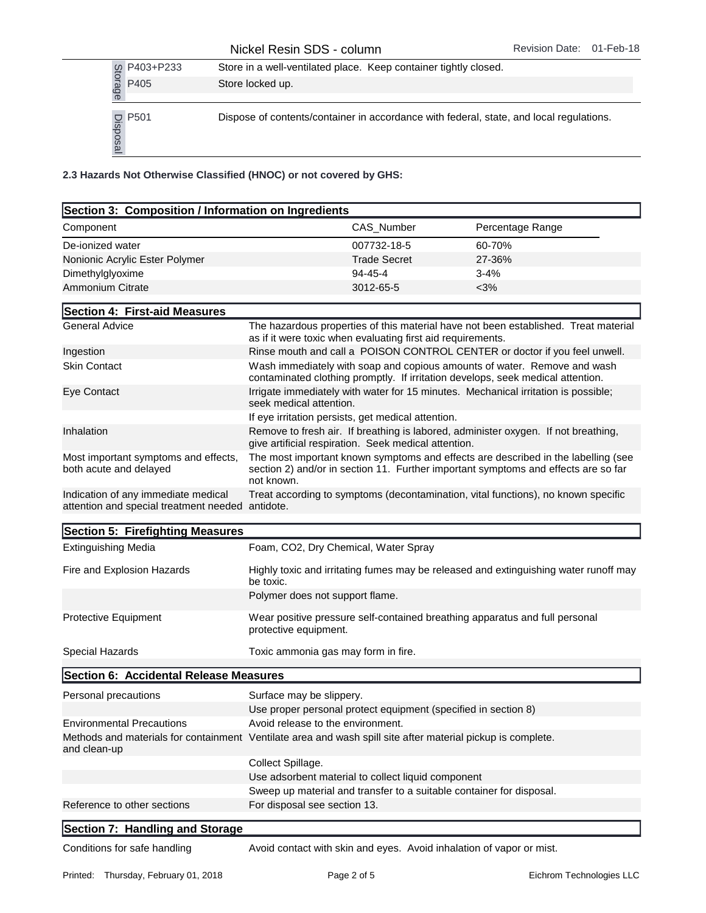|                       | Store in a well-ventilated place. Keep container tightly closed.                        |
|-----------------------|-----------------------------------------------------------------------------------------|
| g P403+P233<br>a P405 | Store locked up.                                                                        |
|                       |                                                                                         |
| <u>C</u> P501         | Dispose of contents/container in accordance with federal, state, and local regulations. |

| P403+P233<br>Storage                                                                                                                                     |                                                                                                             | Store in a well-ventilated place. Keep container tightly closed.                                                                                                        |                                                                                     |  |
|----------------------------------------------------------------------------------------------------------------------------------------------------------|-------------------------------------------------------------------------------------------------------------|-------------------------------------------------------------------------------------------------------------------------------------------------------------------------|-------------------------------------------------------------------------------------|--|
| P405                                                                                                                                                     | Store locked up.                                                                                            |                                                                                                                                                                         |                                                                                     |  |
| $\frac{1}{20}$ P501<br>BS02<br>$\frac{1}{20}$                                                                                                            |                                                                                                             | Dispose of contents/container in accordance with federal, state, and local regulations.                                                                                 |                                                                                     |  |
| 2.3 Hazards Not Otherwise Classified (HNOC) or not covered by GHS:                                                                                       |                                                                                                             |                                                                                                                                                                         |                                                                                     |  |
| Section 3: Composition / Information on Ingredients                                                                                                      |                                                                                                             |                                                                                                                                                                         |                                                                                     |  |
| Component                                                                                                                                                |                                                                                                             | CAS_Number                                                                                                                                                              | Percentage Range                                                                    |  |
| De-ionized water                                                                                                                                         |                                                                                                             | 007732-18-5                                                                                                                                                             | 60-70%                                                                              |  |
| Nonionic Acrylic Ester Polymer                                                                                                                           |                                                                                                             | <b>Trade Secret</b>                                                                                                                                                     | 27-36%                                                                              |  |
| Dimethylglyoxime                                                                                                                                         |                                                                                                             | 94-45-4                                                                                                                                                                 | 3-4%                                                                                |  |
| <b>Ammonium Citrate</b>                                                                                                                                  |                                                                                                             | 3012-65-5                                                                                                                                                               | $<$ 3%                                                                              |  |
| Section 4: First-aid Measures                                                                                                                            |                                                                                                             |                                                                                                                                                                         |                                                                                     |  |
| <b>General Advice</b>                                                                                                                                    |                                                                                                             | as if it were toxic when evaluating first aid requirements.                                                                                                             | The hazardous properties of this material have not been established. Treat material |  |
| Ingestion                                                                                                                                                |                                                                                                             |                                                                                                                                                                         | Rinse mouth and call a POISON CONTROL CENTER or doctor if you feel unwell.          |  |
| <b>Skin Contact</b>                                                                                                                                      |                                                                                                             | Wash immediately with soap and copious amounts of water. Remove and wash<br>contaminated clothing promptly. If irritation develops, seek medical attention.             |                                                                                     |  |
| Eye Contact                                                                                                                                              | seek medical attention.                                                                                     |                                                                                                                                                                         | Irrigate immediately with water for 15 minutes. Mechanical irritation is possible;  |  |
|                                                                                                                                                          |                                                                                                             | If eye irritation persists, get medical attention.                                                                                                                      |                                                                                     |  |
| Inhalation<br>Remove to fresh air. If breathing is labored, administer oxygen. If not breathing,<br>give artificial respiration. Seek medical attention. |                                                                                                             |                                                                                                                                                                         |                                                                                     |  |
| Most important symptoms and effects,<br>both acute and delayed                                                                                           | not known.                                                                                                  | The most important known symptoms and effects are described in the labelling (see<br>section 2) and/or in section 11. Further important symptoms and effects are so far |                                                                                     |  |
| Indication of any immediate medical<br>attention and special treatment needed antidote.                                                                  |                                                                                                             |                                                                                                                                                                         | Treat according to symptoms (decontamination, vital functions), no known specific   |  |
| Section 5: Firefighting Measures                                                                                                                         |                                                                                                             |                                                                                                                                                                         |                                                                                     |  |
| <b>Extinguishing Media</b>                                                                                                                               |                                                                                                             | Foam, CO2, Dry Chemical, Water Spray                                                                                                                                    |                                                                                     |  |
| Fire and Explosion Hazards                                                                                                                               |                                                                                                             | Highly toxic and irritating fumes may be released and extinguishing water runoff may<br>be toxic.                                                                       |                                                                                     |  |
|                                                                                                                                                          | Polymer does not support flame.                                                                             |                                                                                                                                                                         |                                                                                     |  |
| <b>Protective Equipment</b>                                                                                                                              | protective equipment.                                                                                       |                                                                                                                                                                         | Wear positive pressure self-contained breathing apparatus and full personal         |  |
| Special Hazards                                                                                                                                          |                                                                                                             | Toxic ammonia gas may form in fire.                                                                                                                                     |                                                                                     |  |
| Section 6: Accidental Release Measures                                                                                                                   |                                                                                                             |                                                                                                                                                                         |                                                                                     |  |
| Personal precautions                                                                                                                                     | Surface may be slippery.                                                                                    |                                                                                                                                                                         |                                                                                     |  |
|                                                                                                                                                          |                                                                                                             | Use proper personal protect equipment (specified in section 8)                                                                                                          |                                                                                     |  |
| <b>Environmental Precautions</b>                                                                                                                         |                                                                                                             | Avoid release to the environment.                                                                                                                                       |                                                                                     |  |
| and clean-up                                                                                                                                             | Methods and materials for containment Ventilate area and wash spill site after material pickup is complete. |                                                                                                                                                                         |                                                                                     |  |
|                                                                                                                                                          | Collect Spillage.                                                                                           |                                                                                                                                                                         |                                                                                     |  |
|                                                                                                                                                          |                                                                                                             | Use adsorbent material to collect liquid component                                                                                                                      |                                                                                     |  |
| Reference to other sections                                                                                                                              | For disposal see section 13.                                                                                | Sweep up material and transfer to a suitable container for disposal.                                                                                                    |                                                                                     |  |
|                                                                                                                                                          |                                                                                                             |                                                                                                                                                                         |                                                                                     |  |
| Section 7: Handling and Storage                                                                                                                          |                                                                                                             |                                                                                                                                                                         |                                                                                     |  |
| Conditions for safe handling                                                                                                                             |                                                                                                             | Avoid contact with skin and eyes. Avoid inhalation of vapor or mist.                                                                                                    |                                                                                     |  |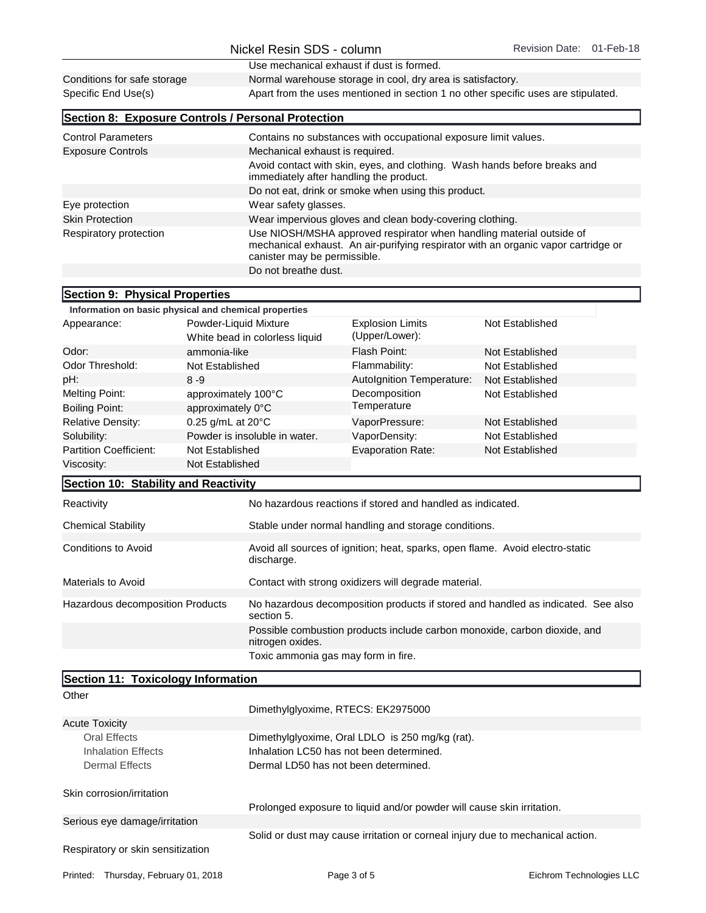|                                                       |                                                         |                                                                                                                                                                                                 | Use mechanical exhaust if dust is formed.                                 |                 |  |
|-------------------------------------------------------|---------------------------------------------------------|-------------------------------------------------------------------------------------------------------------------------------------------------------------------------------------------------|---------------------------------------------------------------------------|-----------------|--|
| Conditions for safe storage                           |                                                         | Normal warehouse storage in cool, dry area is satisfactory.                                                                                                                                     |                                                                           |                 |  |
| Specific End Use(s)                                   |                                                         | Apart from the uses mentioned in section 1 no other specific uses are stipulated.                                                                                                               |                                                                           |                 |  |
| Section 8: Exposure Controls / Personal Protection    |                                                         |                                                                                                                                                                                                 |                                                                           |                 |  |
| <b>Control Parameters</b>                             |                                                         |                                                                                                                                                                                                 | Contains no substances with occupational exposure limit values.           |                 |  |
| <b>Exposure Controls</b>                              |                                                         | Mechanical exhaust is required.                                                                                                                                                                 |                                                                           |                 |  |
|                                                       |                                                         |                                                                                                                                                                                                 | Avoid contact with skin, eyes, and clothing. Wash hands before breaks and |                 |  |
|                                                       |                                                         |                                                                                                                                                                                                 | immediately after handling the product.                                   |                 |  |
|                                                       |                                                         | Do not eat, drink or smoke when using this product.                                                                                                                                             |                                                                           |                 |  |
| Eye protection                                        |                                                         | Wear safety glasses.                                                                                                                                                                            |                                                                           |                 |  |
| <b>Skin Protection</b>                                |                                                         | Wear impervious gloves and clean body-covering clothing.                                                                                                                                        |                                                                           |                 |  |
| Respiratory protection                                |                                                         | Use NIOSH/MSHA approved respirator when handling material outside of<br>mechanical exhaust. An air-purifying respirator with an organic vapor cartridge or<br>canister may be permissible.      |                                                                           |                 |  |
|                                                       |                                                         | Do not breathe dust.                                                                                                                                                                            |                                                                           |                 |  |
|                                                       |                                                         |                                                                                                                                                                                                 |                                                                           |                 |  |
| Section 9: Physical Properties                        |                                                         |                                                                                                                                                                                                 |                                                                           |                 |  |
| Information on basic physical and chemical properties |                                                         |                                                                                                                                                                                                 |                                                                           |                 |  |
| Appearance:                                           | Powder-Liquid Mixture<br>White bead in colorless liquid |                                                                                                                                                                                                 | <b>Explosion Limits</b><br>(Upper/Lower):                                 | Not Established |  |
| Odor:                                                 | ammonia-like                                            |                                                                                                                                                                                                 | Flash Point:                                                              | Not Established |  |
| Odor Threshold:                                       | Not Established                                         |                                                                                                                                                                                                 | Flammability:                                                             | Not Established |  |
| pH:                                                   | $8 - 9$                                                 |                                                                                                                                                                                                 | Autolgnition Temperature:                                                 | Not Established |  |
| <b>Melting Point:</b>                                 | approximately 100°C                                     |                                                                                                                                                                                                 | Decomposition                                                             | Not Established |  |
| <b>Boiling Point:</b>                                 | approximately 0°C                                       |                                                                                                                                                                                                 | Temperature                                                               |                 |  |
| <b>Relative Density:</b>                              | 0.25 g/mL at 20°C                                       |                                                                                                                                                                                                 | VaporPressure:                                                            | Not Established |  |
| Solubility:                                           | Powder is insoluble in water.                           |                                                                                                                                                                                                 | VaporDensity:                                                             | Not Established |  |
| <b>Partition Coefficient:</b>                         | Not Established                                         |                                                                                                                                                                                                 | <b>Evaporation Rate:</b>                                                  | Not Established |  |
| Viscosity:                                            | Not Established                                         |                                                                                                                                                                                                 |                                                                           |                 |  |
| Section 10: Stability and Reactivity                  |                                                         |                                                                                                                                                                                                 |                                                                           |                 |  |
| Reactivity                                            |                                                         |                                                                                                                                                                                                 | No hazardous reactions if stored and handled as indicated.                |                 |  |
| <b>Chemical Stability</b>                             |                                                         | Stable under normal handling and storage conditions.                                                                                                                                            |                                                                           |                 |  |
| <b>Conditions to Avoid</b>                            |                                                         | Avoid all sources of ignition; heat, sparks, open flame. Avoid electro-static<br>discharge.                                                                                                     |                                                                           |                 |  |
| Materials to Avoid                                    |                                                         |                                                                                                                                                                                                 | Contact with strong oxidizers will degrade material.                      |                 |  |
| Hazardous decomposition Products                      |                                                         | No hazardous decomposition products if stored and handled as indicated. See also<br>section 5.<br>Possible combustion products include carbon monoxide, carbon dioxide, and<br>nitrogen oxides. |                                                                           |                 |  |
|                                                       |                                                         |                                                                                                                                                                                                 | Toxic ammonia gas may form in fire.                                       |                 |  |
| Section 11: Toxicology Information                    |                                                         |                                                                                                                                                                                                 |                                                                           |                 |  |
| Other                                                 |                                                         |                                                                                                                                                                                                 |                                                                           |                 |  |
|                                                       |                                                         |                                                                                                                                                                                                 | Dimethylglyoxime, RTECS: EK2975000                                        |                 |  |
| <b>Acute Toxicity</b>                                 |                                                         |                                                                                                                                                                                                 |                                                                           |                 |  |
| <b>Oral Effects</b>                                   |                                                         |                                                                                                                                                                                                 | Dimethylglyoxime, Oral LDLO is 250 mg/kg (rat).                           |                 |  |
| <b>Inhalation Effects</b>                             |                                                         | Inhalation LC50 has not been determined.                                                                                                                                                        |                                                                           |                 |  |
| <b>Dermal Effects</b>                                 |                                                         |                                                                                                                                                                                                 | Dermal LD50 has not been determined.                                      |                 |  |

Serious eye damage/irritation Solid or dust may cause irritation or corneal injury due to mechanical action.

Prolonged exposure to liquid and/or powder will cause skin irritation.

Respiratory or skin sensitization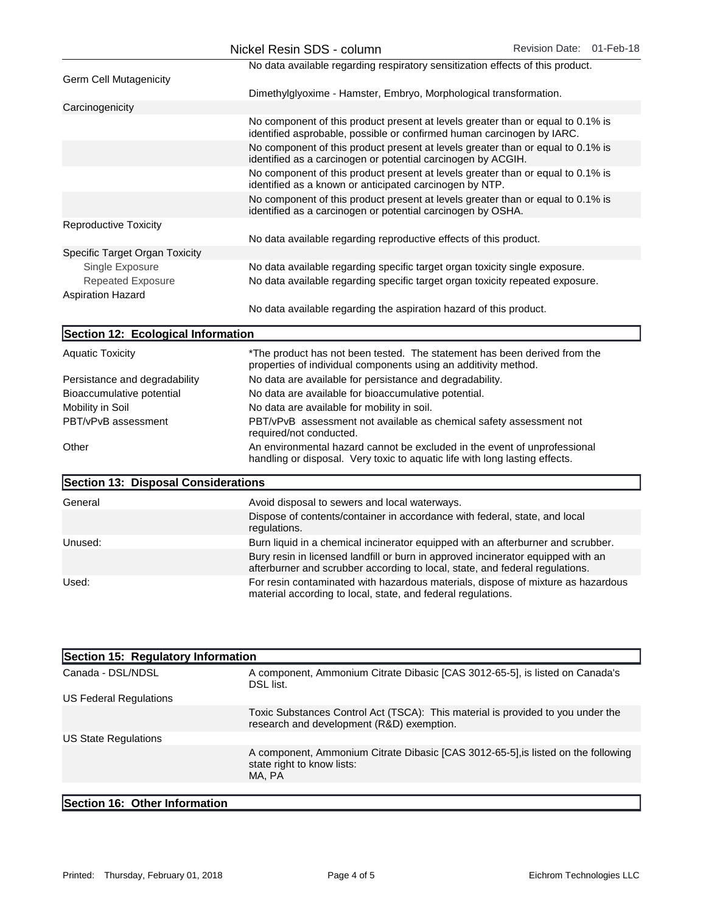|                                                      | Nickel Resin SDS - column                                                                                                                                        | Revision Date: 01-Feb-18 |  |
|------------------------------------------------------|------------------------------------------------------------------------------------------------------------------------------------------------------------------|--------------------------|--|
|                                                      | No data available regarding respiratory sensitization effects of this product.                                                                                   |                          |  |
| <b>Germ Cell Mutagenicity</b>                        |                                                                                                                                                                  |                          |  |
|                                                      | Dimethylglyoxime - Hamster, Embryo, Morphological transformation.                                                                                                |                          |  |
| Carcinogenicity                                      |                                                                                                                                                                  |                          |  |
|                                                      | No component of this product present at levels greater than or equal to 0.1% is<br>identified asprobable, possible or confirmed human carcinogen by IARC.        |                          |  |
|                                                      | No component of this product present at levels greater than or equal to 0.1% is<br>identified as a carcinogen or potential carcinogen by ACGIH.                  |                          |  |
|                                                      | No component of this product present at levels greater than or equal to 0.1% is<br>identified as a known or anticipated carcinogen by NTP.                       |                          |  |
|                                                      | No component of this product present at levels greater than or equal to 0.1% is<br>identified as a carcinogen or potential carcinogen by OSHA.                   |                          |  |
| <b>Reproductive Toxicity</b>                         |                                                                                                                                                                  |                          |  |
|                                                      | No data available regarding reproductive effects of this product.                                                                                                |                          |  |
| Specific Target Organ Toxicity                       |                                                                                                                                                                  |                          |  |
| Single Exposure                                      | No data available regarding specific target organ toxicity single exposure.                                                                                      |                          |  |
| <b>Repeated Exposure</b><br><b>Aspiration Hazard</b> | No data available regarding specific target organ toxicity repeated exposure.                                                                                    |                          |  |
|                                                      | No data available regarding the aspiration hazard of this product.                                                                                               |                          |  |
| Section 12: Ecological Information                   |                                                                                                                                                                  |                          |  |
| <b>Aquatic Toxicity</b>                              | *The product has not been tested. The statement has been derived from the<br>properties of individual components using an additivity method.                     |                          |  |
| Persistance and degradability                        | No data are available for persistance and degradability.                                                                                                         |                          |  |
| Bioaccumulative potential                            | No data are available for bioaccumulative potential.                                                                                                             |                          |  |
| Mobility in Soil                                     | No data are available for mobility in soil.                                                                                                                      |                          |  |
| PBT/vPvB assessment                                  | PBT/vPvB assessment not available as chemical safety assessment not<br>required/not conducted.                                                                   |                          |  |
| Other                                                | An environmental hazard cannot be excluded in the event of unprofessional<br>handling or disposal. Very toxic to aquatic life with long lasting effects.         |                          |  |
| Section 13: Disposal Considerations                  |                                                                                                                                                                  |                          |  |
| General                                              | Avoid disposal to sewers and local waterways.                                                                                                                    |                          |  |
|                                                      | Dispose of contents/container in accordance with federal, state, and local<br>regulations.                                                                       |                          |  |
| Unused:                                              | Burn liquid in a chemical incinerator equipped with an afterburner and scrubber.                                                                                 |                          |  |
|                                                      | Bury resin in licensed landfill or burn in approved incinerator equipped with an<br>afterburner and scrubber according to local, state, and federal regulations. |                          |  |
| Used:                                                | For resin contaminated with hazardous materials, dispose of mixture as hazardous<br>material according to local, state, and federal regulations.                 |                          |  |
|                                                      |                                                                                                                                                                  |                          |  |

| Section 15: Regulatory Information |                                                                                                                              |
|------------------------------------|------------------------------------------------------------------------------------------------------------------------------|
| Canada - DSL/NDSL                  | A component, Ammonium Citrate Dibasic [CAS 3012-65-5], is listed on Canada's<br>DSL list.                                    |
| US Federal Regulations             |                                                                                                                              |
|                                    | Toxic Substances Control Act (TSCA): This material is provided to you under the<br>research and development (R&D) exemption. |
| <b>US State Regulations</b>        |                                                                                                                              |
|                                    | A component, Ammonium Citrate Dibasic [CAS 3012-65-5], is listed on the following<br>state right to know lists:<br>MA, PA    |
|                                    |                                                                                                                              |
| $C_{\alpha}$                       |                                                                                                                              |

## Section 16: Other Information